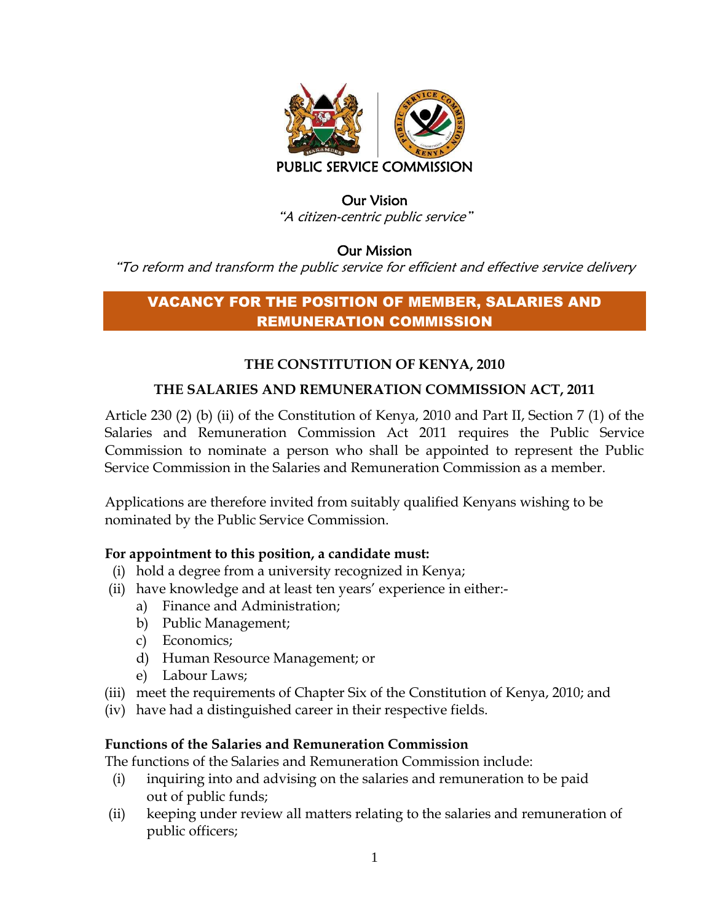

### Our Vision "A citizen-centric public service"

### Our Mission

"To reform and transform the public service for efficient and effective service delivery

# VACANCY FOR THE POSITION OF MEMBER, SALARIES AND REMUNERATION COMMISSION

## **THE CONSTITUTION OF KENYA, 2010**

## **THE SALARIES AND REMUNERATION COMMISSION ACT, 2011**

Article 230 (2) (b) (ii) of the Constitution of Kenya, 2010 and Part II, Section 7 (1) of the Salaries and Remuneration Commission Act 2011 requires the Public Service Commission to nominate a person who shall be appointed to represent the Public Service Commission in the Salaries and Remuneration Commission as a member.

Applications are therefore invited from suitably qualified Kenyans wishing to be nominated by the Public Service Commission.

## **For appointment to this position, a candidate must:**

- (i) hold a degree from a university recognized in Kenya;
- (ii) have knowledge and at least ten years' experience in either:
	- a) Finance and Administration;
	- b) Public Management;
	- c) Economics;
	- d) Human Resource Management; or
	- e) Labour Laws;
- (iii) meet the requirements of Chapter Six of the Constitution of Kenya, 2010; and
- (iv) have had a distinguished career in their respective fields.

#### **Functions of the Salaries and Remuneration Commission**

The functions of the Salaries and Remuneration Commission include:

- (i) inquiring into and advising on the salaries and remuneration to be paid out of public funds;
- (ii) keeping under review all matters relating to the salaries and remuneration of public officers;